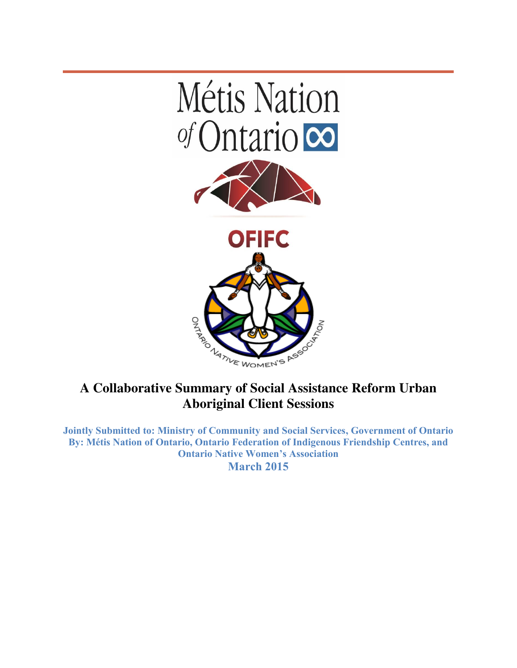

## **A Collaborative Summary of Social Assistance Reform Urban Aboriginal Client Sessions**

**Jointly Submitted to: Ministry of Community and Social Services, Government of Ontario By: Métis Nation of Ontario, Ontario Federation of Indigenous Friendship Centres, and Ontario Native Women's Association March 2015**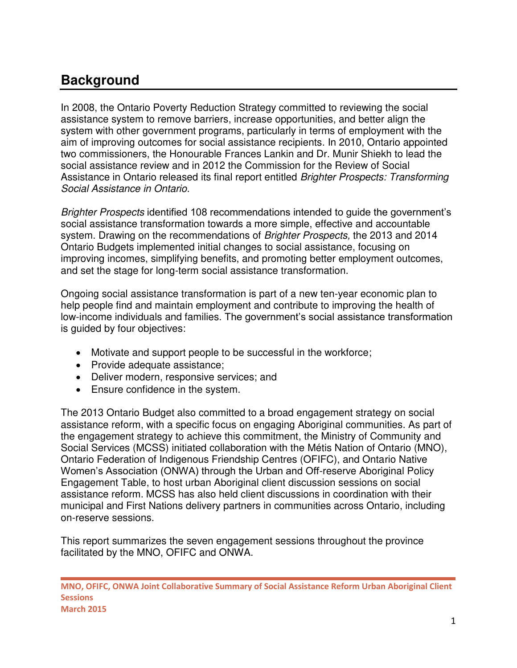## **Background**

In 2008, the Ontario Poverty Reduction Strategy committed to reviewing the social assistance system to remove barriers, increase opportunities, and better align the system with other government programs, particularly in terms of employment with the aim of improving outcomes for social assistance recipients. In 2010, Ontario appointed two commissioners, the Honourable Frances Lankin and Dr. Munir Shiekh to lead the social assistance review and in 2012 the Commission for the Review of Social Assistance in Ontario released its final report entitled Brighter Prospects: Transforming Social Assistance in Ontario.

Brighter Prospects identified 108 recommendations intended to guide the government's social assistance transformation towards a more simple, effective and accountable system. Drawing on the recommendations of *Brighter Prospects*, the 2013 and 2014 Ontario Budgets implemented initial changes to social assistance, focusing on improving incomes, simplifying benefits, and promoting better employment outcomes, and set the stage for long-term social assistance transformation.

Ongoing social assistance transformation is part of a new ten-year economic plan to help people find and maintain employment and contribute to improving the health of low-income individuals and families. The government's social assistance transformation is guided by four objectives:

- Motivate and support people to be successful in the workforce;
- Provide adequate assistance;
- Deliver modern, responsive services; and
- Ensure confidence in the system.

The 2013 Ontario Budget also committed to a broad engagement strategy on social assistance reform, with a specific focus on engaging Aboriginal communities. As part of the engagement strategy to achieve this commitment, the Ministry of Community and Social Services (MCSS) initiated collaboration with the Métis Nation of Ontario (MNO), Ontario Federation of Indigenous Friendship Centres (OFIFC), and Ontario Native Women's Association (ONWA) through the Urban and Off-reserve Aboriginal Policy Engagement Table, to host urban Aboriginal client discussion sessions on social assistance reform. MCSS has also held client discussions in coordination with their municipal and First Nations delivery partners in communities across Ontario, including on-reserve sessions.

This report summarizes the seven engagement sessions throughout the province facilitated by the MNO, OFIFC and ONWA.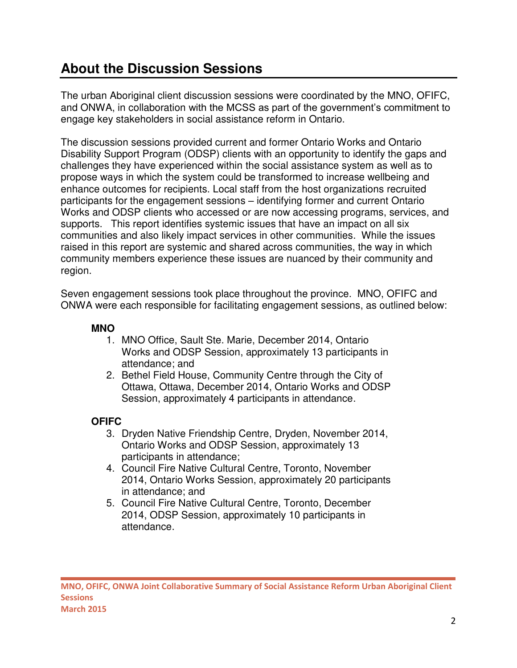## **About the Discussion Sessions**

The urban Aboriginal client discussion sessions were coordinated by the MNO, OFIFC, and ONWA, in collaboration with the MCSS as part of the government's commitment to engage key stakeholders in social assistance reform in Ontario.

The discussion sessions provided current and former Ontario Works and Ontario Disability Support Program (ODSP) clients with an opportunity to identify the gaps and challenges they have experienced within the social assistance system as well as to propose ways in which the system could be transformed to increase wellbeing and enhance outcomes for recipients. Local staff from the host organizations recruited participants for the engagement sessions – identifying former and current Ontario Works and ODSP clients who accessed or are now accessing programs, services, and supports. This report identifies systemic issues that have an impact on all six communities and also likely impact services in other communities. While the issues raised in this report are systemic and shared across communities, the way in which community members experience these issues are nuanced by their community and region.

Seven engagement sessions took place throughout the province. MNO, OFIFC and ONWA were each responsible for facilitating engagement sessions, as outlined below:

## **MNO**

- 1. MNO Office, Sault Ste. Marie, December 2014, Ontario Works and ODSP Session, approximately 13 participants in attendance; and
- 2. Bethel Field House, Community Centre through the City of Ottawa, Ottawa, December 2014, Ontario Works and ODSP Session, approximately 4 participants in attendance.

## **OFIFC**

- 3. Dryden Native Friendship Centre, Dryden, November 2014, Ontario Works and ODSP Session, approximately 13 participants in attendance;
- 4. Council Fire Native Cultural Centre, Toronto, November 2014, Ontario Works Session, approximately 20 participants in attendance; and
- 5. Council Fire Native Cultural Centre, Toronto, December 2014, ODSP Session, approximately 10 participants in attendance.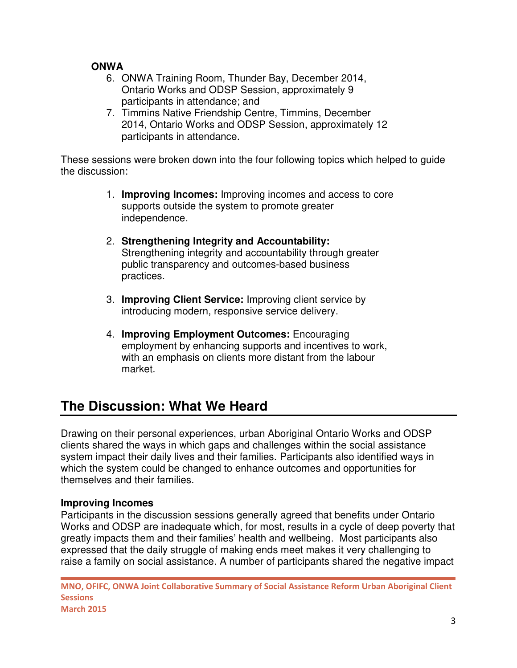### **ONWA**

- 6. ONWA Training Room, Thunder Bay, December 2014, Ontario Works and ODSP Session, approximately 9 participants in attendance; and
- 7. Timmins Native Friendship Centre, Timmins, December 2014, Ontario Works and ODSP Session, approximately 12 participants in attendance.

These sessions were broken down into the four following topics which helped to guide the discussion:

- 1. **Improving Incomes:** Improving incomes and access to core supports outside the system to promote greater independence.
- 2. **Strengthening Integrity and Accountability:**  Strengthening integrity and accountability through greater public transparency and outcomes-based business practices.
- 3. **Improving Client Service:** Improving client service by introducing modern, responsive service delivery.
- 4. **Improving Employment Outcomes:** Encouraging employment by enhancing supports and incentives to work, with an emphasis on clients more distant from the labour market.

# **The Discussion: What We Heard**

Drawing on their personal experiences, urban Aboriginal Ontario Works and ODSP clients shared the ways in which gaps and challenges within the social assistance system impact their daily lives and their families. Participants also identified ways in which the system could be changed to enhance outcomes and opportunities for themselves and their families.

## **Improving Incomes**

Participants in the discussion sessions generally agreed that benefits under Ontario Works and ODSP are inadequate which, for most, results in a cycle of deep poverty that greatly impacts them and their families' health and wellbeing. Most participants also expressed that the daily struggle of making ends meet makes it very challenging to raise a family on social assistance. A number of participants shared the negative impact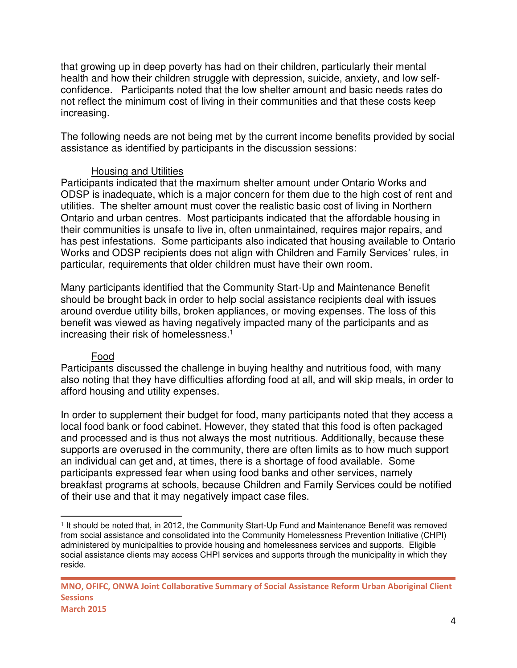that growing up in deep poverty has had on their children, particularly their mental health and how their children struggle with depression, suicide, anxiety, and low selfconfidence. Participants noted that the low shelter amount and basic needs rates do not reflect the minimum cost of living in their communities and that these costs keep increasing.

The following needs are not being met by the current income benefits provided by social assistance as identified by participants in the discussion sessions:

#### Housing and Utilities

Participants indicated that the maximum shelter amount under Ontario Works and ODSP is inadequate, which is a major concern for them due to the high cost of rent and utilities. The shelter amount must cover the realistic basic cost of living in Northern Ontario and urban centres. Most participants indicated that the affordable housing in their communities is unsafe to live in, often unmaintained, requires major repairs, and has pest infestations. Some participants also indicated that housing available to Ontario Works and ODSP recipients does not align with Children and Family Services' rules, in particular, requirements that older children must have their own room.

Many participants identified that the Community Start-Up and Maintenance Benefit should be brought back in order to help social assistance recipients deal with issues around overdue utility bills, broken appliances, or moving expenses. The loss of this benefit was viewed as having negatively impacted many of the participants and as increasing their risk of homelessness.<sup>1</sup>

#### Food

 $\overline{a}$ 

Participants discussed the challenge in buying healthy and nutritious food, with many also noting that they have difficulties affording food at all, and will skip meals, in order to afford housing and utility expenses.

In order to supplement their budget for food, many participants noted that they access a local food bank or food cabinet. However, they stated that this food is often packaged and processed and is thus not always the most nutritious. Additionally, because these supports are overused in the community, there are often limits as to how much support an individual can get and, at times, there is a shortage of food available. Some participants expressed fear when using food banks and other services, namely breakfast programs at schools, because Children and Family Services could be notified of their use and that it may negatively impact case files.

<sup>1</sup> It should be noted that, in 2012, the Community Start-Up Fund and Maintenance Benefit was removed from social assistance and consolidated into the Community Homelessness Prevention Initiative (CHPI) administered by municipalities to provide housing and homelessness services and supports. Eligible social assistance clients may access CHPI services and supports through the municipality in which they reside.

**MNO, OFIFC, ONWA Joint Collaborative Summary of Social Assistance Reform Urban Aboriginal Client Sessions March 2015**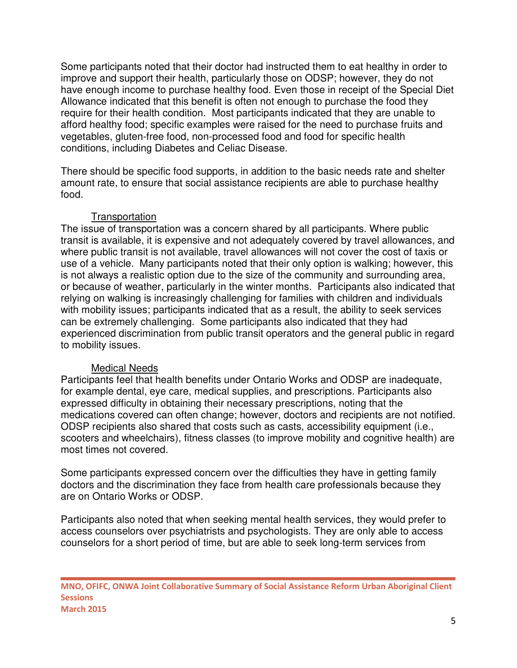Some participants noted that their doctor had instructed them to eat healthy in order to improve and support their health, particularly those on ODSP; however, they do not have enough income to purchase healthy food. Even those in receipt of the Special Diet Allowance indicated that this benefit is often not enough to purchase the food they require for their health condition. Most participants indicated that they are unable to afford healthy food; specific examples were raised for the need to purchase fruits and vegetables, gluten-free food, non-processed food and food for specific health conditions, including Diabetes and Celiac Disease.

There should be specific food supports, in addition to the basic needs rate and shelter amount rate, to ensure that social assistance recipients are able to purchase healthy food.

#### **Transportation**

The issue of transportation was a concern shared by all participants. Where public transit is available, it is expensive and not adequately covered by travel allowances, and where public transit is not available, travel allowances will not cover the cost of taxis or use of a vehicle. Many participants noted that their only option is walking; however, this is not always a realistic option due to the size of the community and surrounding area, or because of weather, particularly in the winter months. Participants also indicated that relying on walking is increasingly challenging for families with children and individuals with mobility issues; participants indicated that as a result, the ability to seek services can be extremely challenging. Some participants also indicated that they had experienced discrimination from public transit operators and the general public in regard to mobility issues.

#### Medical Needs

Participants feel that health benefits under Ontario Works and ODSP are inadequate, for example dental, eye care, medical supplies, and prescriptions. Participants also expressed difficulty in obtaining their necessary prescriptions, noting that the medications covered can often change; however, doctors and recipients are not notified. ODSP recipients also shared that costs such as casts, accessibility equipment (i.e., scooters and wheelchairs), fitness classes (to improve mobility and cognitive health) are most times not covered.

Some participants expressed concern over the difficulties they have in getting family doctors and the discrimination they face from health care professionals because they are on Ontario Works or ODSP.

Participants also noted that when seeking mental health services, they would prefer to access counselors over psychiatrists and psychologists. They are only able to access counselors for a short period of time, but are able to seek long-term services from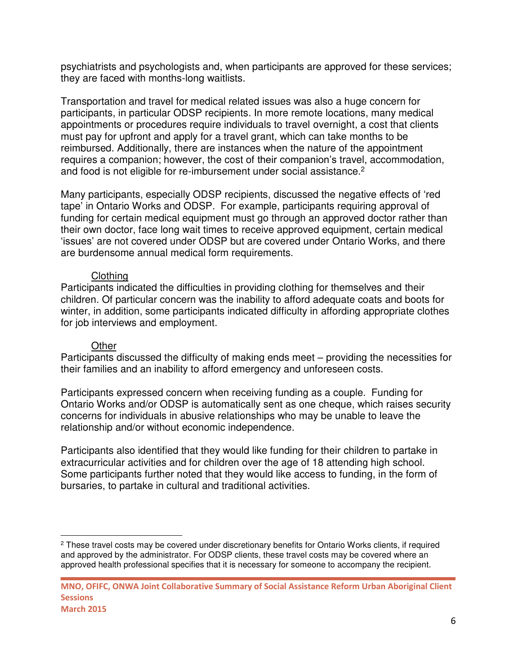psychiatrists and psychologists and, when participants are approved for these services; they are faced with months-long waitlists.

Transportation and travel for medical related issues was also a huge concern for participants, in particular ODSP recipients. In more remote locations, many medical appointments or procedures require individuals to travel overnight, a cost that clients must pay for upfront and apply for a travel grant, which can take months to be reimbursed. Additionally, there are instances when the nature of the appointment requires a companion; however, the cost of their companion's travel, accommodation, and food is not eligible for re-imbursement under social assistance.<sup>2</sup>

Many participants, especially ODSP recipients, discussed the negative effects of 'red tape' in Ontario Works and ODSP. For example, participants requiring approval of funding for certain medical equipment must go through an approved doctor rather than their own doctor, face long wait times to receive approved equipment, certain medical 'issues' are not covered under ODSP but are covered under Ontario Works, and there are burdensome annual medical form requirements.

#### Clothing

Participants indicated the difficulties in providing clothing for themselves and their children. Of particular concern was the inability to afford adequate coats and boots for winter, in addition, some participants indicated difficulty in affording appropriate clothes for job interviews and employment.

#### **Other**

l

Participants discussed the difficulty of making ends meet – providing the necessities for their families and an inability to afford emergency and unforeseen costs.

Participants expressed concern when receiving funding as a couple. Funding for Ontario Works and/or ODSP is automatically sent as one cheque, which raises security concerns for individuals in abusive relationships who may be unable to leave the relationship and/or without economic independence.

Participants also identified that they would like funding for their children to partake in extracurricular activities and for children over the age of 18 attending high school. Some participants further noted that they would like access to funding, in the form of bursaries, to partake in cultural and traditional activities.

<sup>&</sup>lt;sup>2</sup> These travel costs may be covered under discretionary benefits for Ontario Works clients, if required and approved by the administrator. For ODSP clients, these travel costs may be covered where an approved health professional specifies that it is necessary for someone to accompany the recipient.

**MNO, OFIFC, ONWA Joint Collaborative Summary of Social Assistance Reform Urban Aboriginal Client Sessions March 2015**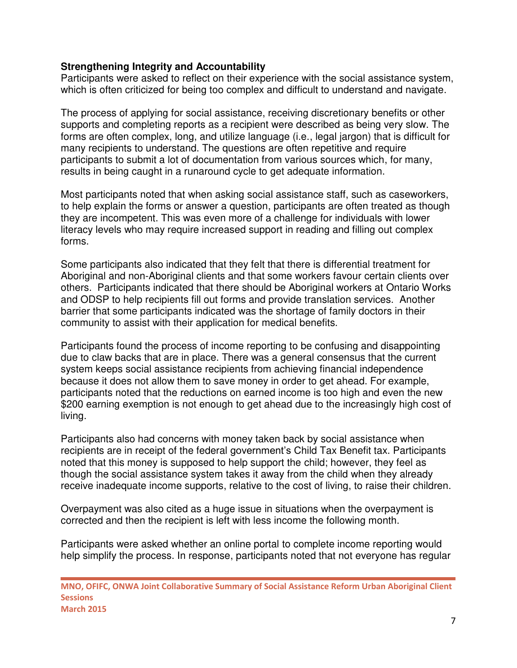#### **Strengthening Integrity and Accountability**

Participants were asked to reflect on their experience with the social assistance system, which is often criticized for being too complex and difficult to understand and navigate.

The process of applying for social assistance, receiving discretionary benefits or other supports and completing reports as a recipient were described as being very slow. The forms are often complex, long, and utilize language (i.e., legal jargon) that is difficult for many recipients to understand. The questions are often repetitive and require participants to submit a lot of documentation from various sources which, for many, results in being caught in a runaround cycle to get adequate information.

Most participants noted that when asking social assistance staff, such as caseworkers, to help explain the forms or answer a question, participants are often treated as though they are incompetent. This was even more of a challenge for individuals with lower literacy levels who may require increased support in reading and filling out complex forms.

Some participants also indicated that they felt that there is differential treatment for Aboriginal and non-Aboriginal clients and that some workers favour certain clients over others. Participants indicated that there should be Aboriginal workers at Ontario Works and ODSP to help recipients fill out forms and provide translation services. Another barrier that some participants indicated was the shortage of family doctors in their community to assist with their application for medical benefits.

Participants found the process of income reporting to be confusing and disappointing due to claw backs that are in place. There was a general consensus that the current system keeps social assistance recipients from achieving financial independence because it does not allow them to save money in order to get ahead. For example, participants noted that the reductions on earned income is too high and even the new \$200 earning exemption is not enough to get ahead due to the increasingly high cost of living.

Participants also had concerns with money taken back by social assistance when recipients are in receipt of the federal government's Child Tax Benefit tax. Participants noted that this money is supposed to help support the child; however, they feel as though the social assistance system takes it away from the child when they already receive inadequate income supports, relative to the cost of living, to raise their children.

Overpayment was also cited as a huge issue in situations when the overpayment is corrected and then the recipient is left with less income the following month.

Participants were asked whether an online portal to complete income reporting would help simplify the process. In response, participants noted that not everyone has regular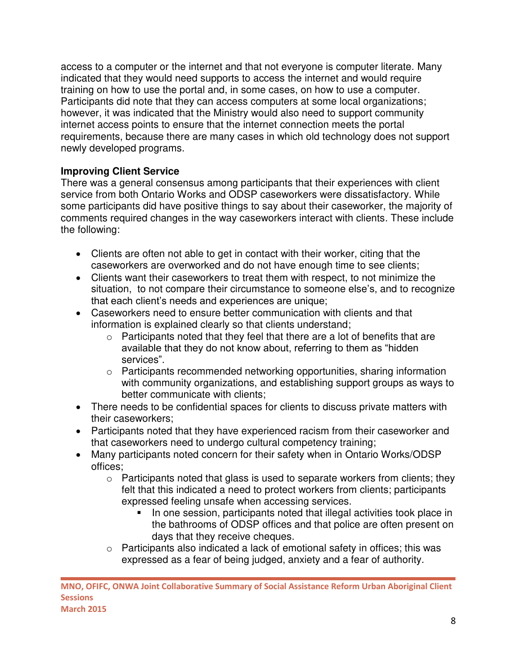access to a computer or the internet and that not everyone is computer literate. Many indicated that they would need supports to access the internet and would require training on how to use the portal and, in some cases, on how to use a computer. Participants did note that they can access computers at some local organizations; however, it was indicated that the Ministry would also need to support community internet access points to ensure that the internet connection meets the portal requirements, because there are many cases in which old technology does not support newly developed programs.

### **Improving Client Service**

There was a general consensus among participants that their experiences with client service from both Ontario Works and ODSP caseworkers were dissatisfactory. While some participants did have positive things to say about their caseworker, the majority of comments required changes in the way caseworkers interact with clients. These include the following:

- Clients are often not able to get in contact with their worker, citing that the caseworkers are overworked and do not have enough time to see clients;
- Clients want their caseworkers to treat them with respect, to not minimize the situation, to not compare their circumstance to someone else's, and to recognize that each client's needs and experiences are unique;
- Caseworkers need to ensure better communication with clients and that information is explained clearly so that clients understand;
	- o Participants noted that they feel that there are a lot of benefits that are available that they do not know about, referring to them as "hidden services".
	- o Participants recommended networking opportunities, sharing information with community organizations, and establishing support groups as ways to better communicate with clients;
- There needs to be confidential spaces for clients to discuss private matters with their caseworkers;
- Participants noted that they have experienced racism from their caseworker and that caseworkers need to undergo cultural competency training;
- Many participants noted concern for their safety when in Ontario Works/ODSP offices;
	- $\circ$  Participants noted that glass is used to separate workers from clients; they felt that this indicated a need to protect workers from clients; participants expressed feeling unsafe when accessing services.
		- In one session, participants noted that illegal activities took place in the bathrooms of ODSP offices and that police are often present on days that they receive cheques.
	- o Participants also indicated a lack of emotional safety in offices; this was expressed as a fear of being judged, anxiety and a fear of authority.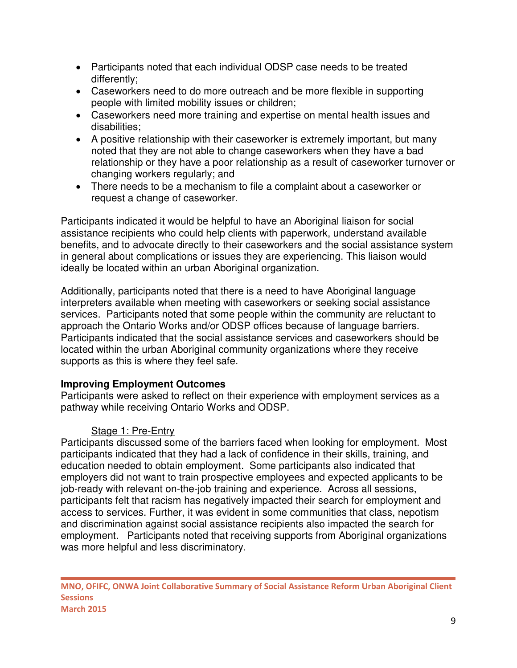- Participants noted that each individual ODSP case needs to be treated differently;
- Caseworkers need to do more outreach and be more flexible in supporting people with limited mobility issues or children;
- Caseworkers need more training and expertise on mental health issues and disabilities;
- A positive relationship with their caseworker is extremely important, but many noted that they are not able to change caseworkers when they have a bad relationship or they have a poor relationship as a result of caseworker turnover or changing workers regularly; and
- There needs to be a mechanism to file a complaint about a caseworker or request a change of caseworker.

Participants indicated it would be helpful to have an Aboriginal liaison for social assistance recipients who could help clients with paperwork, understand available benefits, and to advocate directly to their caseworkers and the social assistance system in general about complications or issues they are experiencing. This liaison would ideally be located within an urban Aboriginal organization.

Additionally, participants noted that there is a need to have Aboriginal language interpreters available when meeting with caseworkers or seeking social assistance services. Participants noted that some people within the community are reluctant to approach the Ontario Works and/or ODSP offices because of language barriers. Participants indicated that the social assistance services and caseworkers should be located within the urban Aboriginal community organizations where they receive supports as this is where they feel safe.

## **Improving Employment Outcomes**

Participants were asked to reflect on their experience with employment services as a pathway while receiving Ontario Works and ODSP.

## Stage 1: Pre-Entry

Participants discussed some of the barriers faced when looking for employment. Most participants indicated that they had a lack of confidence in their skills, training, and education needed to obtain employment. Some participants also indicated that employers did not want to train prospective employees and expected applicants to be job-ready with relevant on-the-job training and experience. Across all sessions, participants felt that racism has negatively impacted their search for employment and access to services. Further, it was evident in some communities that class, nepotism and discrimination against social assistance recipients also impacted the search for employment. Participants noted that receiving supports from Aboriginal organizations was more helpful and less discriminatory.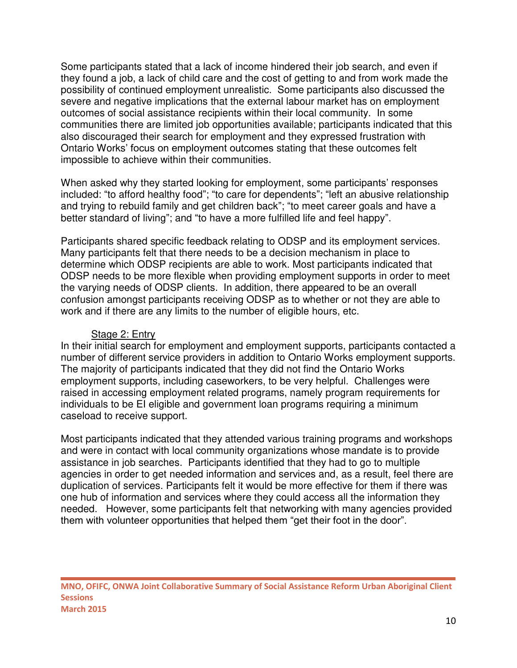Some participants stated that a lack of income hindered their job search, and even if they found a job, a lack of child care and the cost of getting to and from work made the possibility of continued employment unrealistic. Some participants also discussed the severe and negative implications that the external labour market has on employment outcomes of social assistance recipients within their local community. In some communities there are limited job opportunities available; participants indicated that this also discouraged their search for employment and they expressed frustration with Ontario Works' focus on employment outcomes stating that these outcomes felt impossible to achieve within their communities.

When asked why they started looking for employment, some participants' responses included: "to afford healthy food"; "to care for dependents"; "left an abusive relationship and trying to rebuild family and get children back"; "to meet career goals and have a better standard of living"; and "to have a more fulfilled life and feel happy".

Participants shared specific feedback relating to ODSP and its employment services. Many participants felt that there needs to be a decision mechanism in place to determine which ODSP recipients are able to work. Most participants indicated that ODSP needs to be more flexible when providing employment supports in order to meet the varying needs of ODSP clients. In addition, there appeared to be an overall confusion amongst participants receiving ODSP as to whether or not they are able to work and if there are any limits to the number of eligible hours, etc.

#### Stage 2: Entry

In their initial search for employment and employment supports, participants contacted a number of different service providers in addition to Ontario Works employment supports. The majority of participants indicated that they did not find the Ontario Works employment supports, including caseworkers, to be very helpful. Challenges were raised in accessing employment related programs, namely program requirements for individuals to be EI eligible and government loan programs requiring a minimum caseload to receive support.

Most participants indicated that they attended various training programs and workshops and were in contact with local community organizations whose mandate is to provide assistance in job searches. Participants identified that they had to go to multiple agencies in order to get needed information and services and, as a result, feel there are duplication of services. Participants felt it would be more effective for them if there was one hub of information and services where they could access all the information they needed. However, some participants felt that networking with many agencies provided them with volunteer opportunities that helped them "get their foot in the door".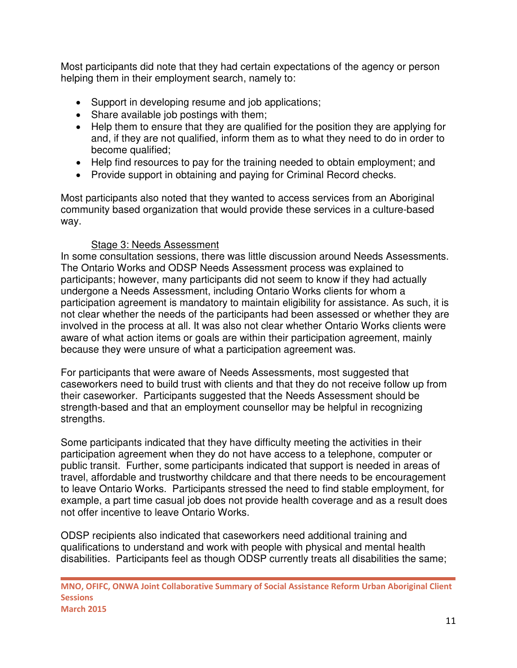Most participants did note that they had certain expectations of the agency or person helping them in their employment search, namely to:

- Support in developing resume and job applications;
- Share available job postings with them;
- Help them to ensure that they are qualified for the position they are applying for and, if they are not qualified, inform them as to what they need to do in order to become qualified;
- Help find resources to pay for the training needed to obtain employment; and
- Provide support in obtaining and paying for Criminal Record checks.

Most participants also noted that they wanted to access services from an Aboriginal community based organization that would provide these services in a culture-based way.

#### Stage 3: Needs Assessment

In some consultation sessions, there was little discussion around Needs Assessments. The Ontario Works and ODSP Needs Assessment process was explained to participants; however, many participants did not seem to know if they had actually undergone a Needs Assessment, including Ontario Works clients for whom a participation agreement is mandatory to maintain eligibility for assistance. As such, it is not clear whether the needs of the participants had been assessed or whether they are involved in the process at all. It was also not clear whether Ontario Works clients were aware of what action items or goals are within their participation agreement, mainly because they were unsure of what a participation agreement was.

For participants that were aware of Needs Assessments, most suggested that caseworkers need to build trust with clients and that they do not receive follow up from their caseworker. Participants suggested that the Needs Assessment should be strength-based and that an employment counsellor may be helpful in recognizing strengths.

Some participants indicated that they have difficulty meeting the activities in their participation agreement when they do not have access to a telephone, computer or public transit. Further, some participants indicated that support is needed in areas of travel, affordable and trustworthy childcare and that there needs to be encouragement to leave Ontario Works. Participants stressed the need to find stable employment, for example, a part time casual job does not provide health coverage and as a result does not offer incentive to leave Ontario Works.

ODSP recipients also indicated that caseworkers need additional training and qualifications to understand and work with people with physical and mental health disabilities. Participants feel as though ODSP currently treats all disabilities the same;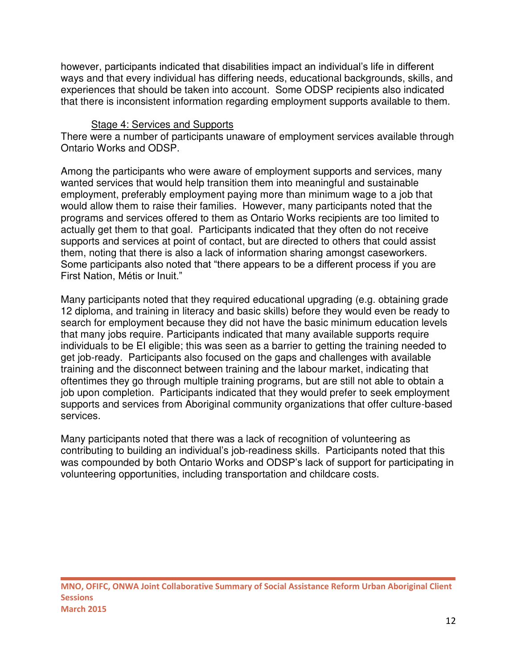however, participants indicated that disabilities impact an individual's life in different ways and that every individual has differing needs, educational backgrounds, skills, and experiences that should be taken into account. Some ODSP recipients also indicated that there is inconsistent information regarding employment supports available to them.

#### Stage 4: Services and Supports

There were a number of participants unaware of employment services available through Ontario Works and ODSP.

Among the participants who were aware of employment supports and services, many wanted services that would help transition them into meaningful and sustainable employment, preferably employment paying more than minimum wage to a job that would allow them to raise their families. However, many participants noted that the programs and services offered to them as Ontario Works recipients are too limited to actually get them to that goal. Participants indicated that they often do not receive supports and services at point of contact, but are directed to others that could assist them, noting that there is also a lack of information sharing amongst caseworkers. Some participants also noted that "there appears to be a different process if you are First Nation, Métis or Inuit."

Many participants noted that they required educational upgrading (e.g. obtaining grade 12 diploma, and training in literacy and basic skills) before they would even be ready to search for employment because they did not have the basic minimum education levels that many jobs require. Participants indicated that many available supports require individuals to be EI eligible; this was seen as a barrier to getting the training needed to get job-ready. Participants also focused on the gaps and challenges with available training and the disconnect between training and the labour market, indicating that oftentimes they go through multiple training programs, but are still not able to obtain a job upon completion. Participants indicated that they would prefer to seek employment supports and services from Aboriginal community organizations that offer culture-based services.

Many participants noted that there was a lack of recognition of volunteering as contributing to building an individual's job-readiness skills. Participants noted that this was compounded by both Ontario Works and ODSP's lack of support for participating in volunteering opportunities, including transportation and childcare costs.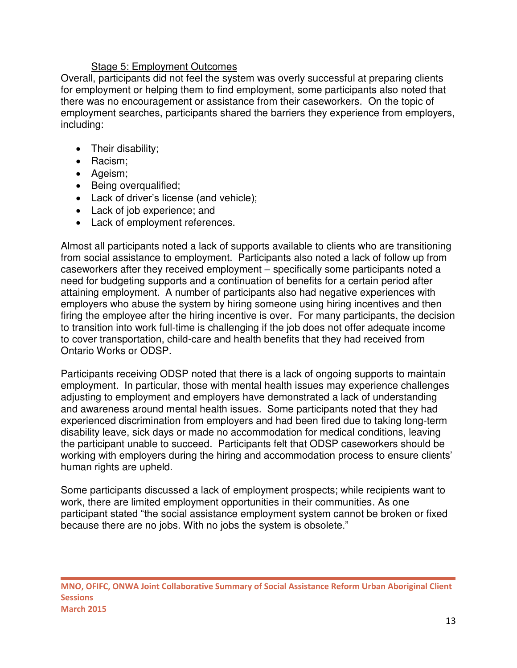#### Stage 5: Employment Outcomes

Overall, participants did not feel the system was overly successful at preparing clients for employment or helping them to find employment, some participants also noted that there was no encouragement or assistance from their caseworkers. On the topic of employment searches, participants shared the barriers they experience from employers, including:

- Their disability;
- Racism;
- Ageism;
- Being overqualified;
- Lack of driver's license (and vehicle);
- Lack of job experience; and
- Lack of employment references.

Almost all participants noted a lack of supports available to clients who are transitioning from social assistance to employment. Participants also noted a lack of follow up from caseworkers after they received employment – specifically some participants noted a need for budgeting supports and a continuation of benefits for a certain period after attaining employment. A number of participants also had negative experiences with employers who abuse the system by hiring someone using hiring incentives and then firing the employee after the hiring incentive is over. For many participants, the decision to transition into work full-time is challenging if the job does not offer adequate income to cover transportation, child-care and health benefits that they had received from Ontario Works or ODSP.

Participants receiving ODSP noted that there is a lack of ongoing supports to maintain employment. In particular, those with mental health issues may experience challenges adjusting to employment and employers have demonstrated a lack of understanding and awareness around mental health issues. Some participants noted that they had experienced discrimination from employers and had been fired due to taking long-term disability leave, sick days or made no accommodation for medical conditions, leaving the participant unable to succeed. Participants felt that ODSP caseworkers should be working with employers during the hiring and accommodation process to ensure clients' human rights are upheld.

Some participants discussed a lack of employment prospects; while recipients want to work, there are limited employment opportunities in their communities. As one participant stated "the social assistance employment system cannot be broken or fixed because there are no jobs. With no jobs the system is obsolete."

**MNO, OFIFC, ONWA Joint Collaborative Summary of Social Assistance Reform Urban Aboriginal Client Sessions March 2015**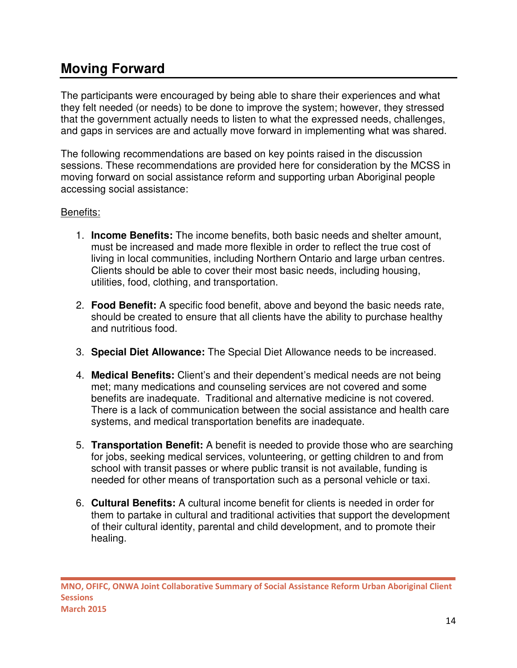## **Moving Forward**

The participants were encouraged by being able to share their experiences and what they felt needed (or needs) to be done to improve the system; however, they stressed that the government actually needs to listen to what the expressed needs, challenges, and gaps in services are and actually move forward in implementing what was shared.

The following recommendations are based on key points raised in the discussion sessions. These recommendations are provided here for consideration by the MCSS in moving forward on social assistance reform and supporting urban Aboriginal people accessing social assistance:

### Benefits:

- 1. **Income Benefits:** The income benefits, both basic needs and shelter amount, must be increased and made more flexible in order to reflect the true cost of living in local communities, including Northern Ontario and large urban centres. Clients should be able to cover their most basic needs, including housing, utilities, food, clothing, and transportation.
- 2. **Food Benefit:** A specific food benefit, above and beyond the basic needs rate, should be created to ensure that all clients have the ability to purchase healthy and nutritious food.
- 3. **Special Diet Allowance:** The Special Diet Allowance needs to be increased.
- 4. **Medical Benefits:** Client's and their dependent's medical needs are not being met; many medications and counseling services are not covered and some benefits are inadequate. Traditional and alternative medicine is not covered. There is a lack of communication between the social assistance and health care systems, and medical transportation benefits are inadequate.
- 5. **Transportation Benefit:** A benefit is needed to provide those who are searching for jobs, seeking medical services, volunteering, or getting children to and from school with transit passes or where public transit is not available, funding is needed for other means of transportation such as a personal vehicle or taxi.
- 6. **Cultural Benefits:** A cultural income benefit for clients is needed in order for them to partake in cultural and traditional activities that support the development of their cultural identity, parental and child development, and to promote their healing.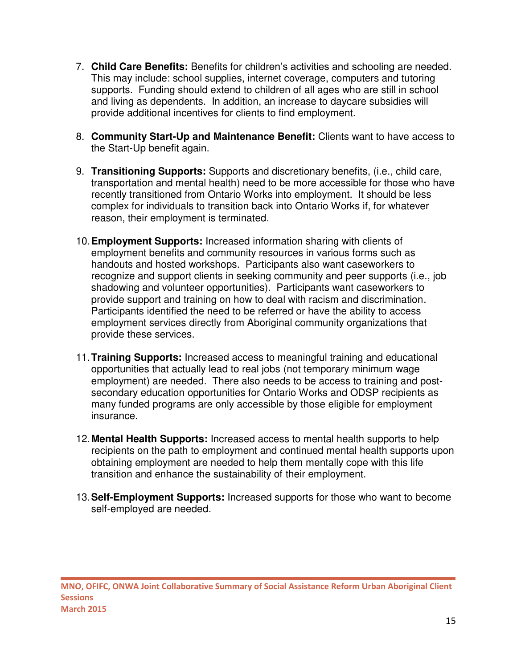- 7. **Child Care Benefits:** Benefits for children's activities and schooling are needed. This may include: school supplies, internet coverage, computers and tutoring supports. Funding should extend to children of all ages who are still in school and living as dependents. In addition, an increase to daycare subsidies will provide additional incentives for clients to find employment.
- 8. **Community Start-Up and Maintenance Benefit:** Clients want to have access to the Start-Up benefit again.
- 9. **Transitioning Supports:** Supports and discretionary benefits, (i.e., child care, transportation and mental health) need to be more accessible for those who have recently transitioned from Ontario Works into employment. It should be less complex for individuals to transition back into Ontario Works if, for whatever reason, their employment is terminated.
- 10.**Employment Supports:** Increased information sharing with clients of employment benefits and community resources in various forms such as handouts and hosted workshops. Participants also want caseworkers to recognize and support clients in seeking community and peer supports (i.e., job shadowing and volunteer opportunities). Participants want caseworkers to provide support and training on how to deal with racism and discrimination. Participants identified the need to be referred or have the ability to access employment services directly from Aboriginal community organizations that provide these services.
- 11.**Training Supports:** Increased access to meaningful training and educational opportunities that actually lead to real jobs (not temporary minimum wage employment) are needed. There also needs to be access to training and postsecondary education opportunities for Ontario Works and ODSP recipients as many funded programs are only accessible by those eligible for employment insurance.
- 12.**Mental Health Supports:** Increased access to mental health supports to help recipients on the path to employment and continued mental health supports upon obtaining employment are needed to help them mentally cope with this life transition and enhance the sustainability of their employment.
- 13.**Self-Employment Supports:** Increased supports for those who want to become self-employed are needed.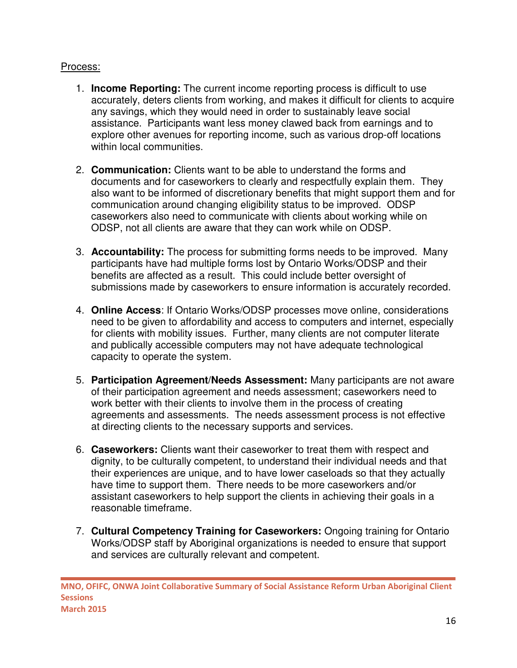### Process:

- 1. **Income Reporting:** The current income reporting process is difficult to use accurately, deters clients from working, and makes it difficult for clients to acquire any savings, which they would need in order to sustainably leave social assistance. Participants want less money clawed back from earnings and to explore other avenues for reporting income, such as various drop-off locations within local communities.
- 2. **Communication:** Clients want to be able to understand the forms and documents and for caseworkers to clearly and respectfully explain them. They also want to be informed of discretionary benefits that might support them and for communication around changing eligibility status to be improved. ODSP caseworkers also need to communicate with clients about working while on ODSP, not all clients are aware that they can work while on ODSP.
- 3. **Accountability:** The process for submitting forms needs to be improved. Many participants have had multiple forms lost by Ontario Works/ODSP and their benefits are affected as a result. This could include better oversight of submissions made by caseworkers to ensure information is accurately recorded.
- 4. **Online Access**: If Ontario Works/ODSP processes move online, considerations need to be given to affordability and access to computers and internet, especially for clients with mobility issues. Further, many clients are not computer literate and publically accessible computers may not have adequate technological capacity to operate the system.
- 5. **Participation Agreement/Needs Assessment:** Many participants are not aware of their participation agreement and needs assessment; caseworkers need to work better with their clients to involve them in the process of creating agreements and assessments. The needs assessment process is not effective at directing clients to the necessary supports and services.
- 6. **Caseworkers:** Clients want their caseworker to treat them with respect and dignity, to be culturally competent, to understand their individual needs and that their experiences are unique, and to have lower caseloads so that they actually have time to support them. There needs to be more caseworkers and/or assistant caseworkers to help support the clients in achieving their goals in a reasonable timeframe.
- 7. **Cultural Competency Training for Caseworkers:** Ongoing training for Ontario Works/ODSP staff by Aboriginal organizations is needed to ensure that support and services are culturally relevant and competent.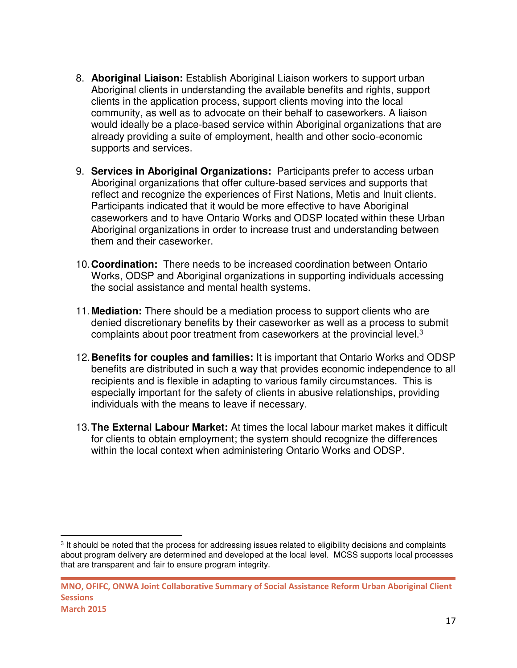- 8. **Aboriginal Liaison:** Establish Aboriginal Liaison workers to support urban Aboriginal clients in understanding the available benefits and rights, support clients in the application process, support clients moving into the local community, as well as to advocate on their behalf to caseworkers. A liaison would ideally be a place-based service within Aboriginal organizations that are already providing a suite of employment, health and other socio-economic supports and services.
- 9. **Services in Aboriginal Organizations:** Participants prefer to access urban Aboriginal organizations that offer culture-based services and supports that reflect and recognize the experiences of First Nations, Metis and Inuit clients. Participants indicated that it would be more effective to have Aboriginal caseworkers and to have Ontario Works and ODSP located within these Urban Aboriginal organizations in order to increase trust and understanding between them and their caseworker.
- 10.**Coordination:** There needs to be increased coordination between Ontario Works, ODSP and Aboriginal organizations in supporting individuals accessing the social assistance and mental health systems.
- 11.**Mediation:** There should be a mediation process to support clients who are denied discretionary benefits by their caseworker as well as a process to submit complaints about poor treatment from caseworkers at the provincial level.<sup>3</sup>
- 12.**Benefits for couples and families:** It is important that Ontario Works and ODSP benefits are distributed in such a way that provides economic independence to all recipients and is flexible in adapting to various family circumstances. This is especially important for the safety of clients in abusive relationships, providing individuals with the means to leave if necessary.
- 13.**The External Labour Market:** At times the local labour market makes it difficult for clients to obtain employment; the system should recognize the differences within the local context when administering Ontario Works and ODSP.

l

<sup>&</sup>lt;sup>3</sup> It should be noted that the process for addressing issues related to eligibility decisions and complaints about program delivery are determined and developed at the local level. MCSS supports local processes that are transparent and fair to ensure program integrity.

**MNO, OFIFC, ONWA Joint Collaborative Summary of Social Assistance Reform Urban Aboriginal Client Sessions March 2015**